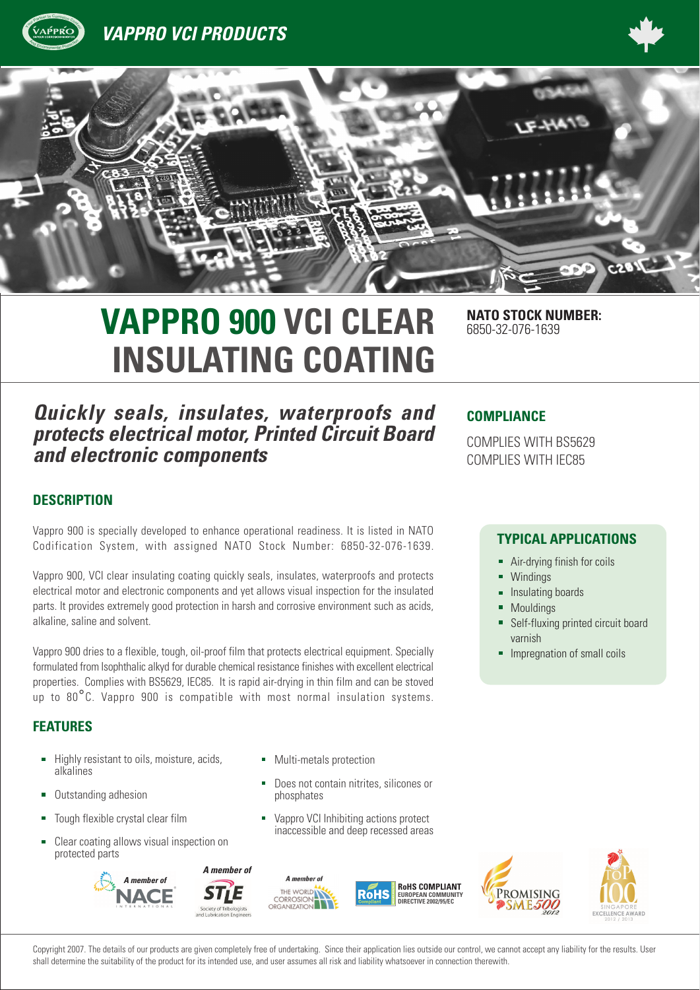





# **VAPPRO 900 VCI CLEAR NATO STOCK NUMBER: INSULATING COATING**

*Quickly seals, insulates, waterproofs and protects electrical motor, Printed Circuit Board and electronic components*

6850-32-076-1639

### **COMPLIANCE**

COMPLIES WITH BS5629 COMPLIES WITH IEC85

### **DESCRIPTION**

Vappro 900 is specially developed to enhance operational readiness. It is listed in NATO Codification System, with assigned NATO Stock Number: 6850-32-076-1639.

Vappro 900, VCI clear insulating coating quickly seals, insulates, waterproofs and protects electrical motor and electronic components and yet allows visual inspection for the insulated parts. It provides extremely good protection in harsh and corrosive environment such as acids, alkaline, saline and solvent.

Vappro 900 dries to a flexible, tough, oil-proof film that protects electrical equipment. Specially formulated from Isophthalic alkyd for durable chemical resistance finishes with excellent electrical properties. Complies with BS5629, IEC85. It is rapid air-drying in thin film and can be stoved up to 80°C. Vappro 900 is compatible with most normal insulation systems.

# **FEATURES**

- Highly resistant to oils, moisture, acids, alkalines
- Outstanding adhesion Ė
- Tough flexible crystal clear film
- Clear coating allows visual inspection on protected parts



- Multi-metals protection
- Does not contain nitrites, silicones or phosphates
- Vappro VCI Inhibiting actions protect inaccessible and deep recessed areas







Copyright 2007. The details of our products are given completely free of undertaking. Since their application lies outside our control, we cannot accept any liability for the results. User shall determine the suitability of the product for its intended use, and user assumes all risk and liability whatsoever in connection therewith.

### **TYPICAL APPLICATIONS**

- Air-drying finish for coils ä,
- **Windings** É
- ä Insulating boards
- Mouldings
- ä, Self-fluxing printed circuit board varnish
- Impregnation of small coils